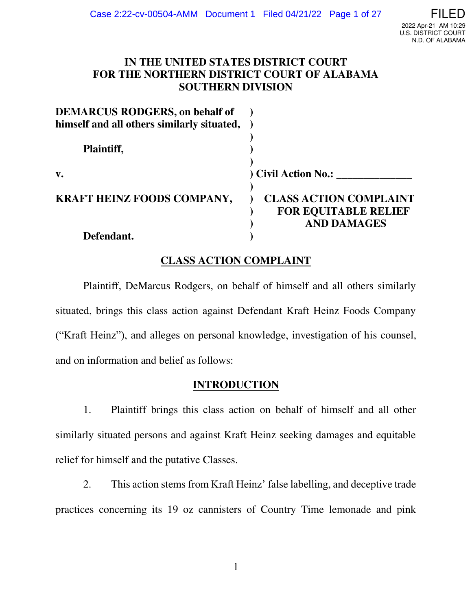## **IN THE UNITED STATES DISTRICT COURT FOR THE NORTHERN DISTRICT COURT OF ALABAMA SOUTHERN DIVISION**

| <b>DEMARCUS RODGERS, on behalf of</b><br>himself and all others similarly situated, |                                                                                    |
|-------------------------------------------------------------------------------------|------------------------------------------------------------------------------------|
| Plaintiff,                                                                          |                                                                                    |
| $\mathbf{v}$ .                                                                      | ) Civil Action No.:                                                                |
| <b>KRAFT HEINZ FOODS COMPANY,</b>                                                   | <b>CLASS ACTION COMPLAINT</b><br><b>FOR EQUITABLE RELIEF</b><br><b>AND DAMAGES</b> |
| Defendant.                                                                          |                                                                                    |

# **CLASS ACTION COMPLAINT**

 Plaintiff, DeMarcus Rodgers, on behalf of himself and all others similarly situated, brings this class action against Defendant Kraft Heinz Foods Company ("Kraft Heinz"), and alleges on personal knowledge, investigation of his counsel, and on information and belief as follows:

### **INTRODUCTION**

1. Plaintiff brings this class action on behalf of himself and all other similarly situated persons and against Kraft Heinz seeking damages and equitable relief for himself and the putative Classes.

2. This action stems from Kraft Heinz' false labelling, and deceptive trade practices concerning its 19 oz cannisters of Country Time lemonade and pink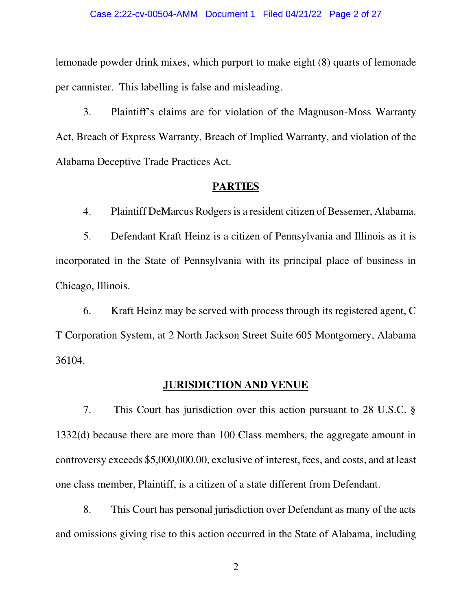### Case 2:22-cv-00504-AMM Document 1 Filed 04/21/22 Page 2 of 27

lemonade powder drink mixes, which purport to make eight (8) quarts of lemonade per cannister. This labelling is false and misleading.

3. Plaintiff's claims are for violation of the Magnuson-Moss Warranty Act, Breach of Express Warranty, Breach of Implied Warranty, and violation of the Alabama Deceptive Trade Practices Act.

### **PARTIES**

4. Plaintiff DeMarcus Rodgers is a resident citizen of Bessemer, Alabama.

5. Defendant Kraft Heinz is a citizen of Pennsylvania and Illinois as it is incorporated in the State of Pennsylvania with its principal place of business in Chicago, Illinois.

6. Kraft Heinz may be served with process through its registered agent, C T Corporation System, at 2 North Jackson Street Suite 605 Montgomery, Alabama 36104.

### **JURISDICTION AND VENUE**

7. This Court has jurisdiction over this action pursuant to 28 U.S.C. § 1332(d) because there are more than 100 Class members, the aggregate amount in controversy exceeds \$5,000,000.00, exclusive of interest, fees, and costs, and at least one class member, Plaintiff, is a citizen of a state different from Defendant.

8. This Court has personal jurisdiction over Defendant as many of the acts and omissions giving rise to this action occurred in the State of Alabama, including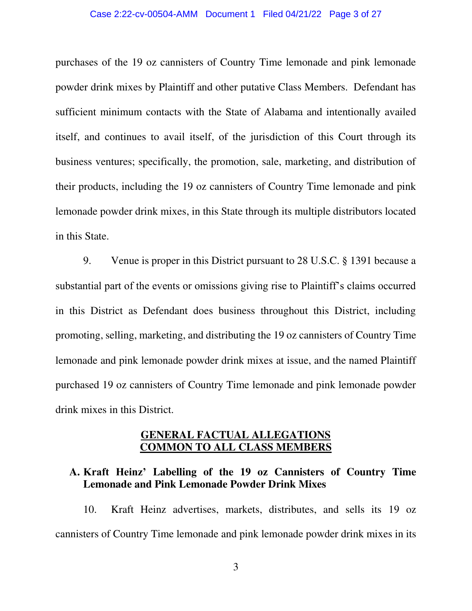### Case 2:22-cv-00504-AMM Document 1 Filed 04/21/22 Page 3 of 27

purchases of the 19 oz cannisters of Country Time lemonade and pink lemonade powder drink mixes by Plaintiff and other putative Class Members. Defendant has sufficient minimum contacts with the State of Alabama and intentionally availed itself, and continues to avail itself, of the jurisdiction of this Court through its business ventures; specifically, the promotion, sale, marketing, and distribution of their products, including the 19 oz cannisters of Country Time lemonade and pink lemonade powder drink mixes, in this State through its multiple distributors located in this State.

9. Venue is proper in this District pursuant to 28 U.S.C. § 1391 because a substantial part of the events or omissions giving rise to Plaintiff's claims occurred in this District as Defendant does business throughout this District, including promoting, selling, marketing, and distributing the 19 oz cannisters of Country Time lemonade and pink lemonade powder drink mixes at issue, and the named Plaintiff purchased 19 oz cannisters of Country Time lemonade and pink lemonade powder drink mixes in this District.

## **GENERAL FACTUAL ALLEGATIONS COMMON TO ALL CLASS MEMBERS**

## **A. Kraft Heinz' Labelling of the 19 oz Cannisters of Country Time Lemonade and Pink Lemonade Powder Drink Mixes**

10. Kraft Heinz advertises, markets, distributes, and sells its 19 oz cannisters of Country Time lemonade and pink lemonade powder drink mixes in its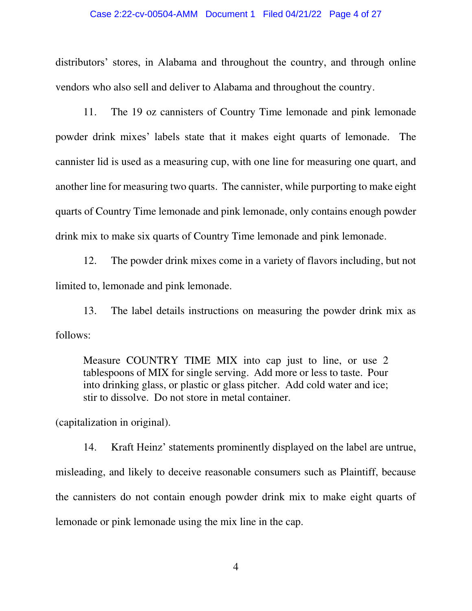### Case 2:22-cv-00504-AMM Document 1 Filed 04/21/22 Page 4 of 27

distributors' stores, in Alabama and throughout the country, and through online vendors who also sell and deliver to Alabama and throughout the country.

11. The 19 oz cannisters of Country Time lemonade and pink lemonade powder drink mixes' labels state that it makes eight quarts of lemonade. The cannister lid is used as a measuring cup, with one line for measuring one quart, and another line for measuring two quarts. The cannister, while purporting to make eight quarts of Country Time lemonade and pink lemonade, only contains enough powder drink mix to make six quarts of Country Time lemonade and pink lemonade.

12. The powder drink mixes come in a variety of flavors including, but not limited to, lemonade and pink lemonade.

13. The label details instructions on measuring the powder drink mix as follows:

Measure COUNTRY TIME MIX into cap just to line, or use 2 tablespoons of MIX for single serving. Add more or less to taste. Pour into drinking glass, or plastic or glass pitcher. Add cold water and ice; stir to dissolve. Do not store in metal container.

(capitalization in original).

14. Kraft Heinz' statements prominently displayed on the label are untrue, misleading, and likely to deceive reasonable consumers such as Plaintiff, because the cannisters do not contain enough powder drink mix to make eight quarts of lemonade or pink lemonade using the mix line in the cap.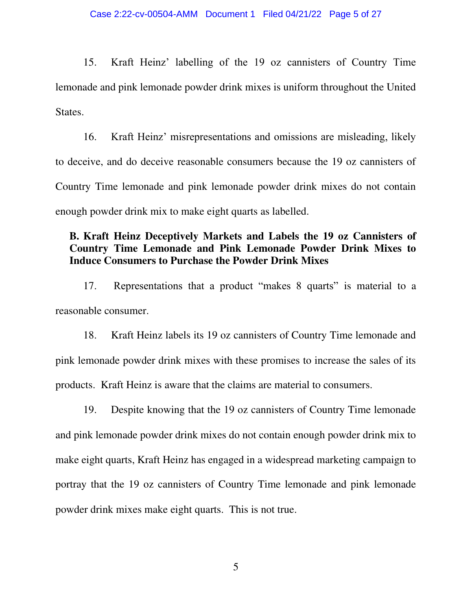15. Kraft Heinz' labelling of the 19 oz cannisters of Country Time lemonade and pink lemonade powder drink mixes is uniform throughout the United States.

16. Kraft Heinz' misrepresentations and omissions are misleading, likely to deceive, and do deceive reasonable consumers because the 19 oz cannisters of Country Time lemonade and pink lemonade powder drink mixes do not contain enough powder drink mix to make eight quarts as labelled.

# **B. Kraft Heinz Deceptively Markets and Labels the 19 oz Cannisters of Country Time Lemonade and Pink Lemonade Powder Drink Mixes to Induce Consumers to Purchase the Powder Drink Mixes**

17. Representations that a product "makes 8 quarts" is material to a reasonable consumer.

18. Kraft Heinz labels its 19 oz cannisters of Country Time lemonade and pink lemonade powder drink mixes with these promises to increase the sales of its products. Kraft Heinz is aware that the claims are material to consumers.

19. Despite knowing that the 19 oz cannisters of Country Time lemonade and pink lemonade powder drink mixes do not contain enough powder drink mix to make eight quarts, Kraft Heinz has engaged in a widespread marketing campaign to portray that the 19 oz cannisters of Country Time lemonade and pink lemonade powder drink mixes make eight quarts. This is not true.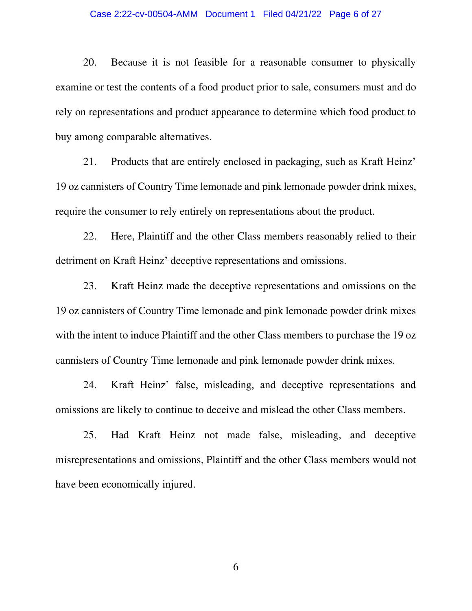### Case 2:22-cv-00504-AMM Document 1 Filed 04/21/22 Page 6 of 27

20. Because it is not feasible for a reasonable consumer to physically examine or test the contents of a food product prior to sale, consumers must and do rely on representations and product appearance to determine which food product to buy among comparable alternatives.

21. Products that are entirely enclosed in packaging, such as Kraft Heinz' 19 oz cannisters of Country Time lemonade and pink lemonade powder drink mixes, require the consumer to rely entirely on representations about the product.

22. Here, Plaintiff and the other Class members reasonably relied to their detriment on Kraft Heinz' deceptive representations and omissions.

23. Kraft Heinz made the deceptive representations and omissions on the 19 oz cannisters of Country Time lemonade and pink lemonade powder drink mixes with the intent to induce Plaintiff and the other Class members to purchase the 19 oz cannisters of Country Time lemonade and pink lemonade powder drink mixes.

24. Kraft Heinz' false, misleading, and deceptive representations and omissions are likely to continue to deceive and mislead the other Class members.

25. Had Kraft Heinz not made false, misleading, and deceptive misrepresentations and omissions, Plaintiff and the other Class members would not have been economically injured.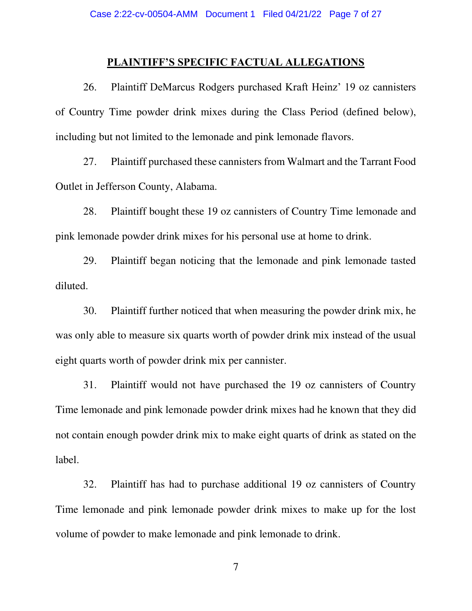### **PLAINTIFF'S SPECIFIC FACTUAL ALLEGATIONS**

26. Plaintiff DeMarcus Rodgers purchased Kraft Heinz' 19 oz cannisters of Country Time powder drink mixes during the Class Period (defined below), including but not limited to the lemonade and pink lemonade flavors.

27. Plaintiff purchased these cannisters from Walmart and the Tarrant Food Outlet in Jefferson County, Alabama.

28. Plaintiff bought these 19 oz cannisters of Country Time lemonade and pink lemonade powder drink mixes for his personal use at home to drink.

29. Plaintiff began noticing that the lemonade and pink lemonade tasted diluted.

30. Plaintiff further noticed that when measuring the powder drink mix, he was only able to measure six quarts worth of powder drink mix instead of the usual eight quarts worth of powder drink mix per cannister.

31. Plaintiff would not have purchased the 19 oz cannisters of Country Time lemonade and pink lemonade powder drink mixes had he known that they did not contain enough powder drink mix to make eight quarts of drink as stated on the label.

32. Plaintiff has had to purchase additional 19 oz cannisters of Country Time lemonade and pink lemonade powder drink mixes to make up for the lost volume of powder to make lemonade and pink lemonade to drink.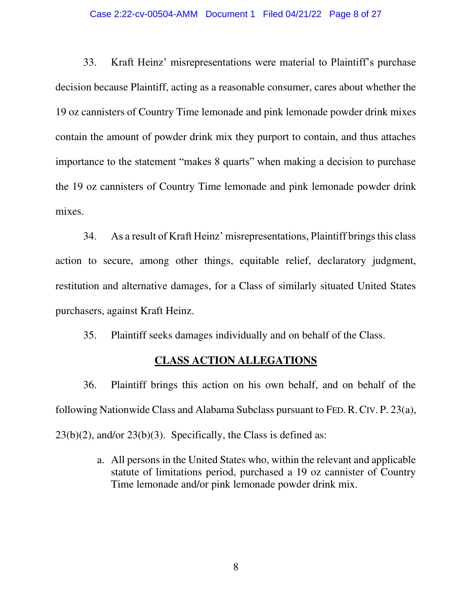### Case 2:22-cv-00504-AMM Document 1 Filed 04/21/22 Page 8 of 27

33. Kraft Heinz' misrepresentations were material to Plaintiff's purchase decision because Plaintiff, acting as a reasonable consumer, cares about whether the 19 oz cannisters of Country Time lemonade and pink lemonade powder drink mixes contain the amount of powder drink mix they purport to contain, and thus attaches importance to the statement "makes 8 quarts" when making a decision to purchase the 19 oz cannisters of Country Time lemonade and pink lemonade powder drink mixes.

34. As a result of Kraft Heinz' misrepresentations, Plaintiff brings this class action to secure, among other things, equitable relief, declaratory judgment, restitution and alternative damages, for a Class of similarly situated United States purchasers, against Kraft Heinz.

35. Plaintiff seeks damages individually and on behalf of the Class.

### **CLASS ACTION ALLEGATIONS**

36. Plaintiff brings this action on his own behalf, and on behalf of the following Nationwide Class and Alabama Subclass pursuant to FED.R.CIV. P. 23(a),  $23(b)(2)$ , and/or  $23(b)(3)$ . Specifically, the Class is defined as:

> a. All persons in the United States who, within the relevant and applicable statute of limitations period, purchased a 19 oz cannister of Country Time lemonade and/or pink lemonade powder drink mix.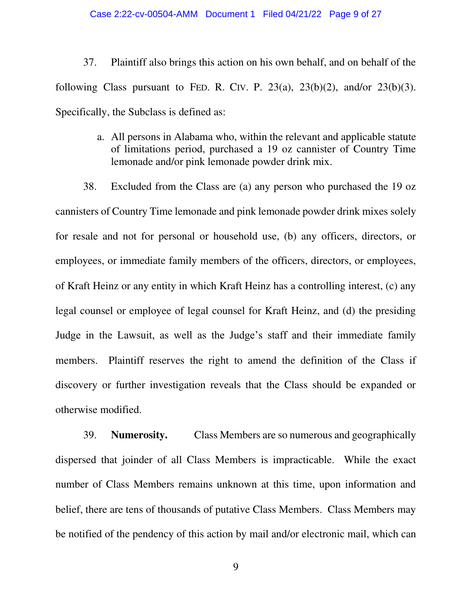### Case 2:22-cv-00504-AMM Document 1 Filed 04/21/22 Page 9 of 27

37. Plaintiff also brings this action on his own behalf, and on behalf of the following Class pursuant to FED. R. CIV. P.  $23(a)$ ,  $23(b)(2)$ , and/or  $23(b)(3)$ . Specifically, the Subclass is defined as:

> a. All persons in Alabama who, within the relevant and applicable statute of limitations period, purchased a 19 oz cannister of Country Time lemonade and/or pink lemonade powder drink mix.

38. Excluded from the Class are (a) any person who purchased the 19 oz cannisters of Country Time lemonade and pink lemonade powder drink mixes solely for resale and not for personal or household use, (b) any officers, directors, or employees, or immediate family members of the officers, directors, or employees, of Kraft Heinz or any entity in which Kraft Heinz has a controlling interest, (c) any legal counsel or employee of legal counsel for Kraft Heinz, and (d) the presiding Judge in the Lawsuit, as well as the Judge's staff and their immediate family members. Plaintiff reserves the right to amend the definition of the Class if discovery or further investigation reveals that the Class should be expanded or otherwise modified.

39. **Numerosity.** Class Members are so numerous and geographically dispersed that joinder of all Class Members is impracticable. While the exact number of Class Members remains unknown at this time, upon information and belief, there are tens of thousands of putative Class Members. Class Members may be notified of the pendency of this action by mail and/or electronic mail, which can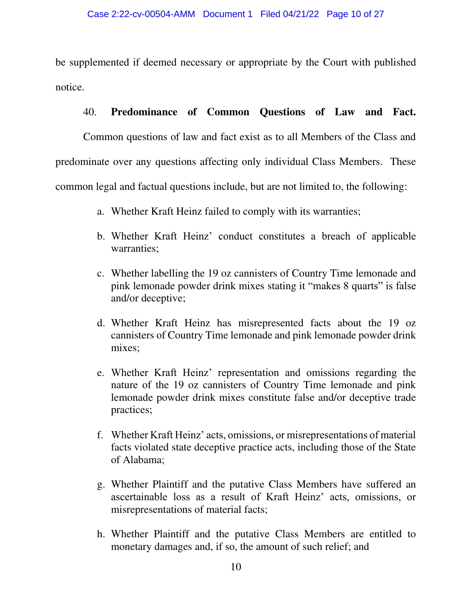be supplemented if deemed necessary or appropriate by the Court with published notice.

## 40. **Predominance of Common Questions of Law and Fact.**

Common questions of law and fact exist as to all Members of the Class and predominate over any questions affecting only individual Class Members. These common legal and factual questions include, but are not limited to, the following:

- a. Whether Kraft Heinz failed to comply with its warranties;
- b. Whether Kraft Heinz' conduct constitutes a breach of applicable warranties;
- c. Whether labelling the 19 oz cannisters of Country Time lemonade and pink lemonade powder drink mixes stating it "makes 8 quarts" is false and/or deceptive;
- d. Whether Kraft Heinz has misrepresented facts about the 19 oz cannisters of Country Time lemonade and pink lemonade powder drink mixes;
- e. Whether Kraft Heinz' representation and omissions regarding the nature of the 19 oz cannisters of Country Time lemonade and pink lemonade powder drink mixes constitute false and/or deceptive trade practices;
- f. Whether Kraft Heinz' acts, omissions, or misrepresentations of material facts violated state deceptive practice acts, including those of the State of Alabama;
- g. Whether Plaintiff and the putative Class Members have suffered an ascertainable loss as a result of Kraft Heinz' acts, omissions, or misrepresentations of material facts;
- h. Whether Plaintiff and the putative Class Members are entitled to monetary damages and, if so, the amount of such relief; and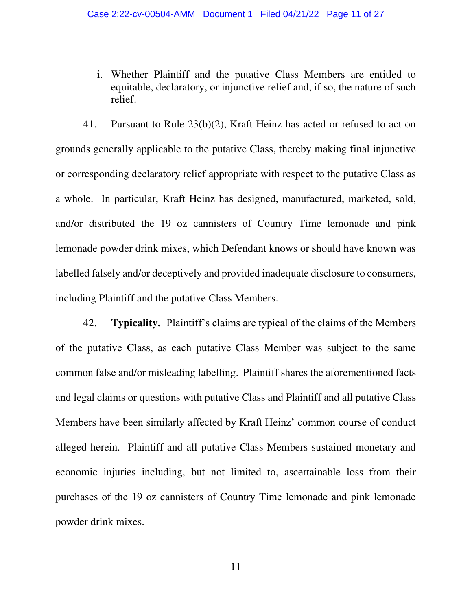i. Whether Plaintiff and the putative Class Members are entitled to equitable, declaratory, or injunctive relief and, if so, the nature of such relief.

41. Pursuant to Rule 23(b)(2), Kraft Heinz has acted or refused to act on grounds generally applicable to the putative Class, thereby making final injunctive or corresponding declaratory relief appropriate with respect to the putative Class as a whole. In particular, Kraft Heinz has designed, manufactured, marketed, sold, and/or distributed the 19 oz cannisters of Country Time lemonade and pink lemonade powder drink mixes, which Defendant knows or should have known was labelled falsely and/or deceptively and provided inadequate disclosure to consumers, including Plaintiff and the putative Class Members.

42. **Typicality.** Plaintiff's claims are typical of the claims of the Members of the putative Class, as each putative Class Member was subject to the same common false and/or misleading labelling. Plaintiff shares the aforementioned facts and legal claims or questions with putative Class and Plaintiff and all putative Class Members have been similarly affected by Kraft Heinz' common course of conduct alleged herein. Plaintiff and all putative Class Members sustained monetary and economic injuries including, but not limited to, ascertainable loss from their purchases of the 19 oz cannisters of Country Time lemonade and pink lemonade powder drink mixes.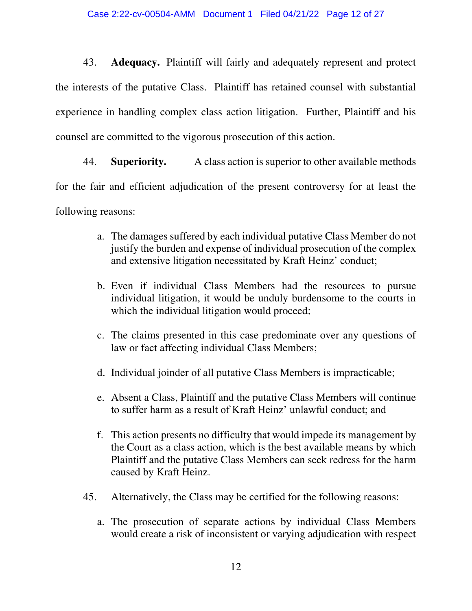43. **Adequacy.** Plaintiff will fairly and adequately represent and protect the interests of the putative Class. Plaintiff has retained counsel with substantial experience in handling complex class action litigation. Further, Plaintiff and his counsel are committed to the vigorous prosecution of this action.

44. **Superiority.** A class action is superior to other available methods for the fair and efficient adjudication of the present controversy for at least the following reasons:

- a. The damages suffered by each individual putative Class Member do not justify the burden and expense of individual prosecution of the complex and extensive litigation necessitated by Kraft Heinz' conduct;
- b. Even if individual Class Members had the resources to pursue individual litigation, it would be unduly burdensome to the courts in which the individual litigation would proceed;
- c. The claims presented in this case predominate over any questions of law or fact affecting individual Class Members;
- d. Individual joinder of all putative Class Members is impracticable;
- e. Absent a Class, Plaintiff and the putative Class Members will continue to suffer harm as a result of Kraft Heinz' unlawful conduct; and
- f. This action presents no difficulty that would impede its management by the Court as a class action, which is the best available means by which Plaintiff and the putative Class Members can seek redress for the harm caused by Kraft Heinz.
- 45. Alternatively, the Class may be certified for the following reasons:
	- a. The prosecution of separate actions by individual Class Members would create a risk of inconsistent or varying adjudication with respect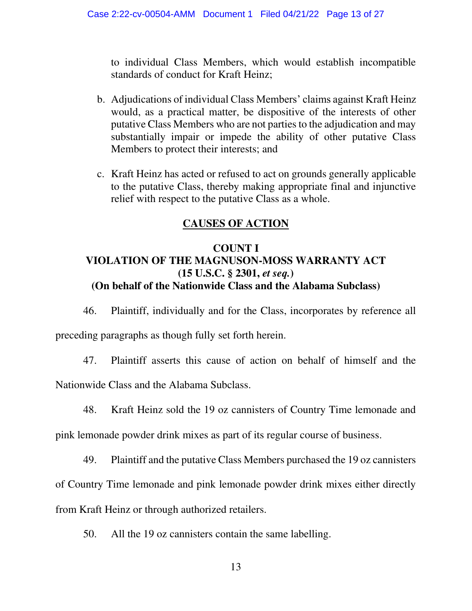to individual Class Members, which would establish incompatible standards of conduct for Kraft Heinz;

- b. Adjudications of individual Class Members' claims against Kraft Heinz would, as a practical matter, be dispositive of the interests of other putative Class Members who are not parties to the adjudication and may substantially impair or impede the ability of other putative Class Members to protect their interests; and
- c. Kraft Heinz has acted or refused to act on grounds generally applicable to the putative Class, thereby making appropriate final and injunctive relief with respect to the putative Class as a whole.

# **CAUSES OF ACTION**

# **COUNT I VIOLATION OF THE MAGNUSON-MOSS WARRANTY ACT (15 U.S.C. § 2301,** *et seq.***) (On behalf of the Nationwide Class and the Alabama Subclass)**

46. Plaintiff, individually and for the Class, incorporates by reference all

preceding paragraphs as though fully set forth herein.

47. Plaintiff asserts this cause of action on behalf of himself and the

Nationwide Class and the Alabama Subclass.

48. Kraft Heinz sold the 19 oz cannisters of Country Time lemonade and

pink lemonade powder drink mixes as part of its regular course of business.

49. Plaintiff and the putative Class Members purchased the 19 oz cannisters

of Country Time lemonade and pink lemonade powder drink mixes either directly

from Kraft Heinz or through authorized retailers.

50. All the 19 oz cannisters contain the same labelling.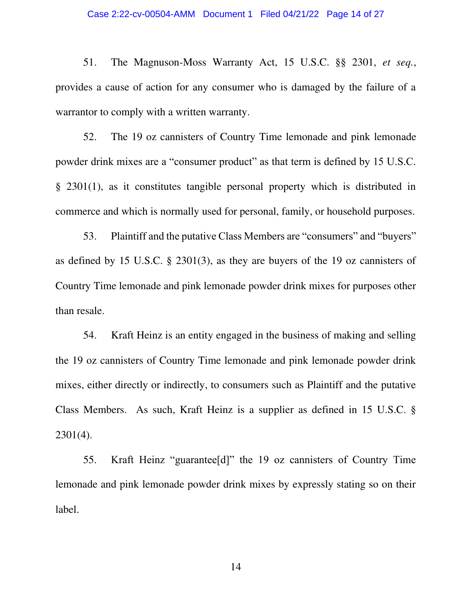### Case 2:22-cv-00504-AMM Document 1 Filed 04/21/22 Page 14 of 27

51. The Magnuson-Moss Warranty Act, 15 U.S.C. §§ 2301, *et seq.*, provides a cause of action for any consumer who is damaged by the failure of a warrantor to comply with a written warranty.

52. The 19 oz cannisters of Country Time lemonade and pink lemonade powder drink mixes are a "consumer product" as that term is defined by 15 U.S.C. § 2301(1), as it constitutes tangible personal property which is distributed in commerce and which is normally used for personal, family, or household purposes.

53. Plaintiff and the putative Class Members are "consumers" and "buyers" as defined by 15 U.S.C. § 2301(3), as they are buyers of the 19 oz cannisters of Country Time lemonade and pink lemonade powder drink mixes for purposes other than resale.

54. Kraft Heinz is an entity engaged in the business of making and selling the 19 oz cannisters of Country Time lemonade and pink lemonade powder drink mixes, either directly or indirectly, to consumers such as Plaintiff and the putative Class Members. As such, Kraft Heinz is a supplier as defined in 15 U.S.C. § 2301(4).

55. Kraft Heinz "guarantee[d]" the 19 oz cannisters of Country Time lemonade and pink lemonade powder drink mixes by expressly stating so on their label.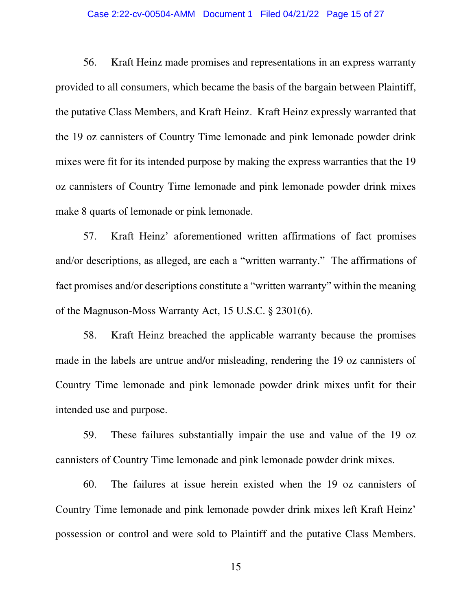### Case 2:22-cv-00504-AMM Document 1 Filed 04/21/22 Page 15 of 27

56. Kraft Heinz made promises and representations in an express warranty provided to all consumers, which became the basis of the bargain between Plaintiff, the putative Class Members, and Kraft Heinz. Kraft Heinz expressly warranted that the 19 oz cannisters of Country Time lemonade and pink lemonade powder drink mixes were fit for its intended purpose by making the express warranties that the 19 oz cannisters of Country Time lemonade and pink lemonade powder drink mixes make 8 quarts of lemonade or pink lemonade.

57. Kraft Heinz' aforementioned written affirmations of fact promises and/or descriptions, as alleged, are each a "written warranty." The affirmations of fact promises and/or descriptions constitute a "written warranty" within the meaning of the Magnuson-Moss Warranty Act, 15 U.S.C. § 2301(6).

58. Kraft Heinz breached the applicable warranty because the promises made in the labels are untrue and/or misleading, rendering the 19 oz cannisters of Country Time lemonade and pink lemonade powder drink mixes unfit for their intended use and purpose.

59. These failures substantially impair the use and value of the 19 oz cannisters of Country Time lemonade and pink lemonade powder drink mixes.

60. The failures at issue herein existed when the 19 oz cannisters of Country Time lemonade and pink lemonade powder drink mixes left Kraft Heinz' possession or control and were sold to Plaintiff and the putative Class Members.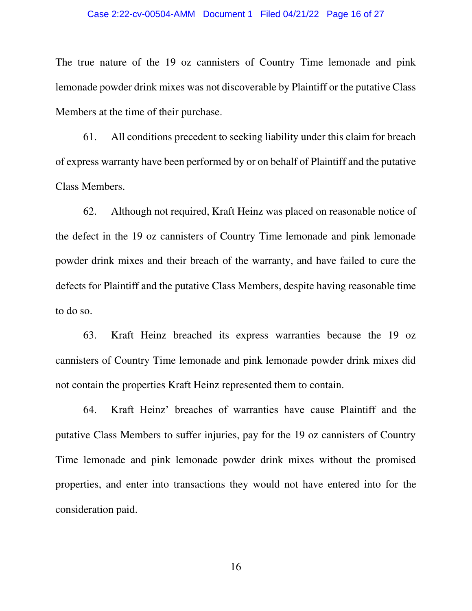### Case 2:22-cv-00504-AMM Document 1 Filed 04/21/22 Page 16 of 27

The true nature of the 19 oz cannisters of Country Time lemonade and pink lemonade powder drink mixes was not discoverable by Plaintiff or the putative Class Members at the time of their purchase.

61. All conditions precedent to seeking liability under this claim for breach of express warranty have been performed by or on behalf of Plaintiff and the putative Class Members.

62. Although not required, Kraft Heinz was placed on reasonable notice of the defect in the 19 oz cannisters of Country Time lemonade and pink lemonade powder drink mixes and their breach of the warranty, and have failed to cure the defects for Plaintiff and the putative Class Members, despite having reasonable time to do so.

63. Kraft Heinz breached its express warranties because the 19 oz cannisters of Country Time lemonade and pink lemonade powder drink mixes did not contain the properties Kraft Heinz represented them to contain.

64. Kraft Heinz' breaches of warranties have cause Plaintiff and the putative Class Members to suffer injuries, pay for the 19 oz cannisters of Country Time lemonade and pink lemonade powder drink mixes without the promised properties, and enter into transactions they would not have entered into for the consideration paid.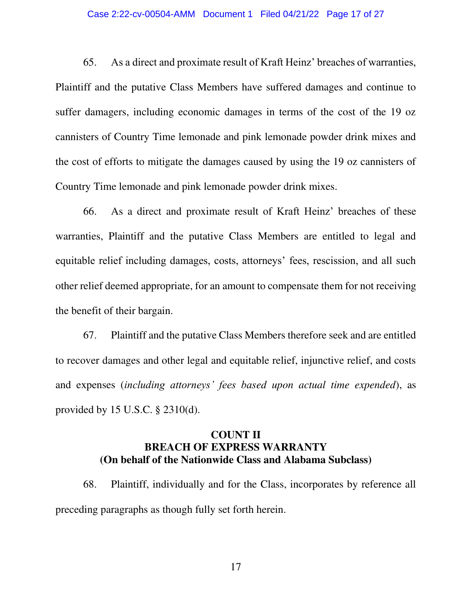### Case 2:22-cv-00504-AMM Document 1 Filed 04/21/22 Page 17 of 27

65. As a direct and proximate result of Kraft Heinz' breaches of warranties, Plaintiff and the putative Class Members have suffered damages and continue to suffer damagers, including economic damages in terms of the cost of the 19 oz cannisters of Country Time lemonade and pink lemonade powder drink mixes and the cost of efforts to mitigate the damages caused by using the 19 oz cannisters of Country Time lemonade and pink lemonade powder drink mixes.

66. As a direct and proximate result of Kraft Heinz' breaches of these warranties, Plaintiff and the putative Class Members are entitled to legal and equitable relief including damages, costs, attorneys' fees, rescission, and all such other relief deemed appropriate, for an amount to compensate them for not receiving the benefit of their bargain.

67. Plaintiff and the putative Class Members therefore seek and are entitled to recover damages and other legal and equitable relief, injunctive relief, and costs and expenses (*including attorneys' fees based upon actual time expended*), as provided by 15 U.S.C. § 2310(d).

## **COUNT II BREACH OF EXPRESS WARRANTY (On behalf of the Nationwide Class and Alabama Subclass)**

68. Plaintiff, individually and for the Class, incorporates by reference all preceding paragraphs as though fully set forth herein.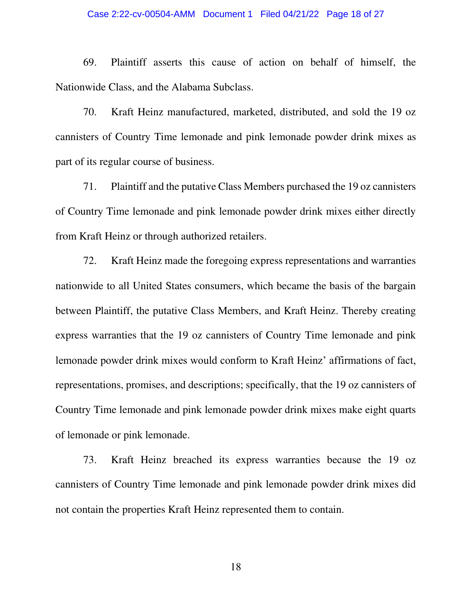### Case 2:22-cv-00504-AMM Document 1 Filed 04/21/22 Page 18 of 27

69. Plaintiff asserts this cause of action on behalf of himself, the Nationwide Class, and the Alabama Subclass.

70. Kraft Heinz manufactured, marketed, distributed, and sold the 19 oz cannisters of Country Time lemonade and pink lemonade powder drink mixes as part of its regular course of business.

71. Plaintiff and the putative Class Members purchased the 19 oz cannisters of Country Time lemonade and pink lemonade powder drink mixes either directly from Kraft Heinz or through authorized retailers.

72. Kraft Heinz made the foregoing express representations and warranties nationwide to all United States consumers, which became the basis of the bargain between Plaintiff, the putative Class Members, and Kraft Heinz. Thereby creating express warranties that the 19 oz cannisters of Country Time lemonade and pink lemonade powder drink mixes would conform to Kraft Heinz' affirmations of fact, representations, promises, and descriptions; specifically, that the 19 oz cannisters of Country Time lemonade and pink lemonade powder drink mixes make eight quarts of lemonade or pink lemonade.

73. Kraft Heinz breached its express warranties because the 19 oz cannisters of Country Time lemonade and pink lemonade powder drink mixes did not contain the properties Kraft Heinz represented them to contain.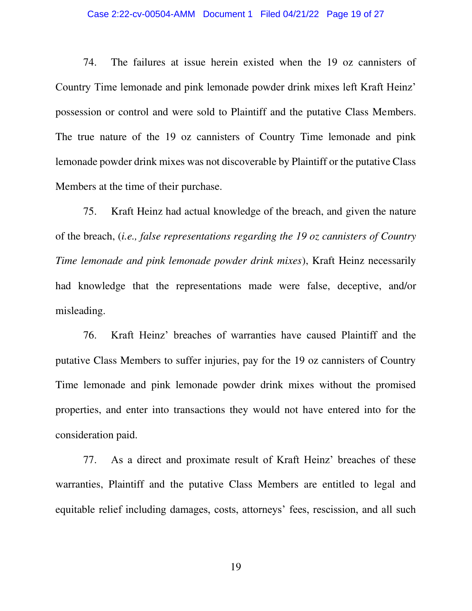### Case 2:22-cv-00504-AMM Document 1 Filed 04/21/22 Page 19 of 27

74. The failures at issue herein existed when the 19 oz cannisters of Country Time lemonade and pink lemonade powder drink mixes left Kraft Heinz' possession or control and were sold to Plaintiff and the putative Class Members. The true nature of the 19 oz cannisters of Country Time lemonade and pink lemonade powder drink mixes was not discoverable by Plaintiff or the putative Class Members at the time of their purchase.

75. Kraft Heinz had actual knowledge of the breach, and given the nature of the breach, (*i.e., false representations regarding the 19 oz cannisters of Country Time lemonade and pink lemonade powder drink mixes*), Kraft Heinz necessarily had knowledge that the representations made were false, deceptive, and/or misleading.

76. Kraft Heinz' breaches of warranties have caused Plaintiff and the putative Class Members to suffer injuries, pay for the 19 oz cannisters of Country Time lemonade and pink lemonade powder drink mixes without the promised properties, and enter into transactions they would not have entered into for the consideration paid.

77. As a direct and proximate result of Kraft Heinz' breaches of these warranties, Plaintiff and the putative Class Members are entitled to legal and equitable relief including damages, costs, attorneys' fees, rescission, and all such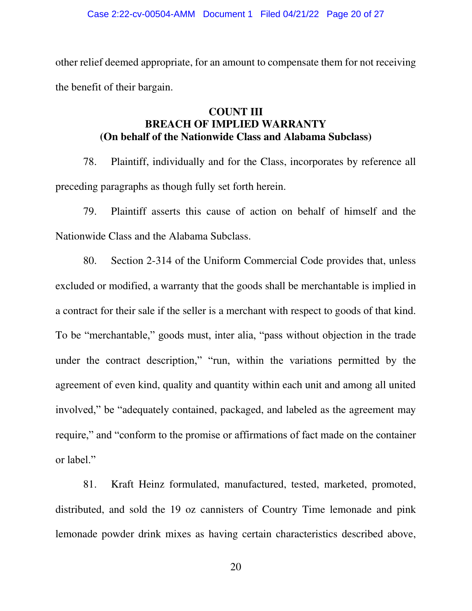other relief deemed appropriate, for an amount to compensate them for not receiving the benefit of their bargain.

## **COUNT III BREACH OF IMPLIED WARRANTY (On behalf of the Nationwide Class and Alabama Subclass)**

78. Plaintiff, individually and for the Class, incorporates by reference all preceding paragraphs as though fully set forth herein.

79. Plaintiff asserts this cause of action on behalf of himself and the Nationwide Class and the Alabama Subclass.

80. Section 2-314 of the Uniform Commercial Code provides that, unless excluded or modified, a warranty that the goods shall be merchantable is implied in a contract for their sale if the seller is a merchant with respect to goods of that kind. To be "merchantable," goods must, inter alia, "pass without objection in the trade under the contract description," "run, within the variations permitted by the agreement of even kind, quality and quantity within each unit and among all united involved," be "adequately contained, packaged, and labeled as the agreement may require," and "conform to the promise or affirmations of fact made on the container or label."

81. Kraft Heinz formulated, manufactured, tested, marketed, promoted, distributed, and sold the 19 oz cannisters of Country Time lemonade and pink lemonade powder drink mixes as having certain characteristics described above,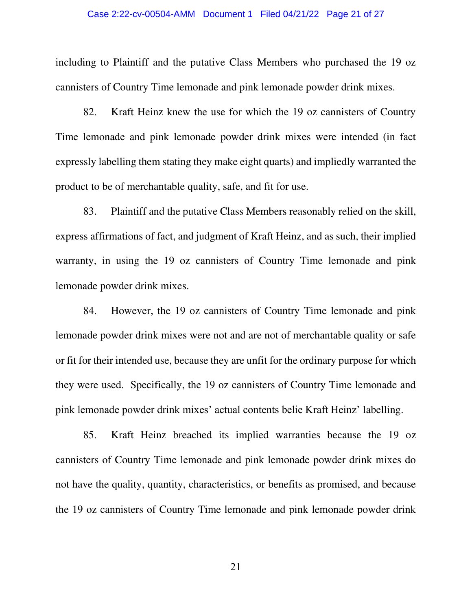### Case 2:22-cv-00504-AMM Document 1 Filed 04/21/22 Page 21 of 27

including to Plaintiff and the putative Class Members who purchased the 19 oz cannisters of Country Time lemonade and pink lemonade powder drink mixes.

82. Kraft Heinz knew the use for which the 19 oz cannisters of Country Time lemonade and pink lemonade powder drink mixes were intended (in fact expressly labelling them stating they make eight quarts) and impliedly warranted the product to be of merchantable quality, safe, and fit for use.

83. Plaintiff and the putative Class Members reasonably relied on the skill, express affirmations of fact, and judgment of Kraft Heinz, and as such, their implied warranty, in using the 19 oz cannisters of Country Time lemonade and pink lemonade powder drink mixes.

84. However, the 19 oz cannisters of Country Time lemonade and pink lemonade powder drink mixes were not and are not of merchantable quality or safe or fit for their intended use, because they are unfit for the ordinary purpose for which they were used. Specifically, the 19 oz cannisters of Country Time lemonade and pink lemonade powder drink mixes' actual contents belie Kraft Heinz' labelling.

85. Kraft Heinz breached its implied warranties because the 19 oz cannisters of Country Time lemonade and pink lemonade powder drink mixes do not have the quality, quantity, characteristics, or benefits as promised, and because the 19 oz cannisters of Country Time lemonade and pink lemonade powder drink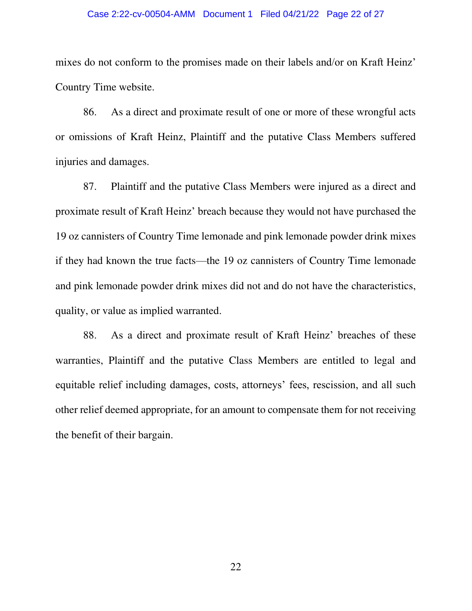### Case 2:22-cv-00504-AMM Document 1 Filed 04/21/22 Page 22 of 27

mixes do not conform to the promises made on their labels and/or on Kraft Heinz' Country Time website.

86. As a direct and proximate result of one or more of these wrongful acts or omissions of Kraft Heinz, Plaintiff and the putative Class Members suffered injuries and damages.

87. Plaintiff and the putative Class Members were injured as a direct and proximate result of Kraft Heinz' breach because they would not have purchased the 19 oz cannisters of Country Time lemonade and pink lemonade powder drink mixes if they had known the true facts—the 19 oz cannisters of Country Time lemonade and pink lemonade powder drink mixes did not and do not have the characteristics, quality, or value as implied warranted.

88. As a direct and proximate result of Kraft Heinz' breaches of these warranties, Plaintiff and the putative Class Members are entitled to legal and equitable relief including damages, costs, attorneys' fees, rescission, and all such other relief deemed appropriate, for an amount to compensate them for not receiving the benefit of their bargain.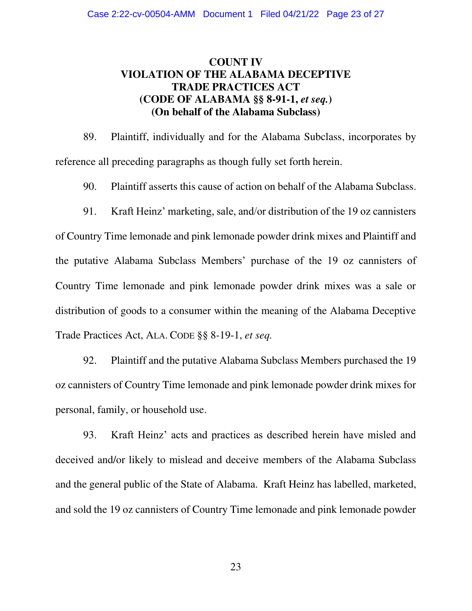# **COUNT IV VIOLATION OF THE ALABAMA DECEPTIVE TRADE PRACTICES ACT (CODE OF ALABAMA §§ 8-91-1,** *et seq.***) (On behalf of the Alabama Subclass)**

89. Plaintiff, individually and for the Alabama Subclass, incorporates by reference all preceding paragraphs as though fully set forth herein.

90. Plaintiff asserts this cause of action on behalf of the Alabama Subclass.

91. Kraft Heinz' marketing, sale, and/or distribution of the 19 oz cannisters of Country Time lemonade and pink lemonade powder drink mixes and Plaintiff and the putative Alabama Subclass Members' purchase of the 19 oz cannisters of Country Time lemonade and pink lemonade powder drink mixes was a sale or distribution of goods to a consumer within the meaning of the Alabama Deceptive Trade Practices Act, ALA. CODE §§ 8-19-1, *et seq.*

92. Plaintiff and the putative Alabama Subclass Members purchased the 19 oz cannisters of Country Time lemonade and pink lemonade powder drink mixes for personal, family, or household use.

93. Kraft Heinz' acts and practices as described herein have misled and deceived and/or likely to mislead and deceive members of the Alabama Subclass and the general public of the State of Alabama. Kraft Heinz has labelled, marketed, and sold the 19 oz cannisters of Country Time lemonade and pink lemonade powder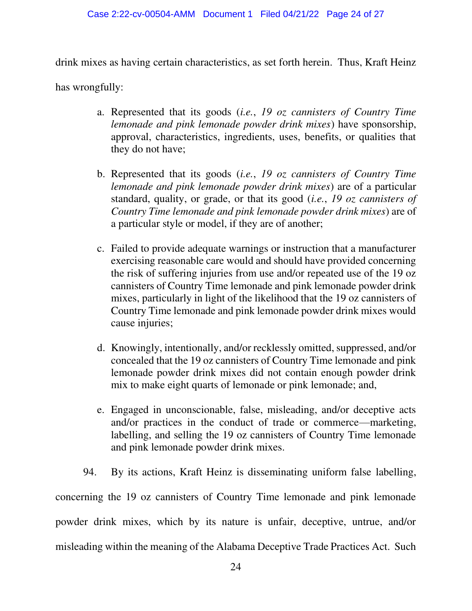### Case 2:22-cv-00504-AMM Document 1 Filed 04/21/22 Page 24 of 27

drink mixes as having certain characteristics, as set forth herein. Thus, Kraft Heinz

has wrongfully:

- a. Represented that its goods (*i.e.*, *19 oz cannisters of Country Time lemonade and pink lemonade powder drink mixes*) have sponsorship, approval, characteristics, ingredients, uses, benefits, or qualities that they do not have;
- b. Represented that its goods (*i.e.*, *19 oz cannisters of Country Time lemonade and pink lemonade powder drink mixes*) are of a particular standard, quality, or grade, or that its good (*i.e.*, *19 oz cannisters of Country Time lemonade and pink lemonade powder drink mixes*) are of a particular style or model, if they are of another;
- c. Failed to provide adequate warnings or instruction that a manufacturer exercising reasonable care would and should have provided concerning the risk of suffering injuries from use and/or repeated use of the 19 oz cannisters of Country Time lemonade and pink lemonade powder drink mixes, particularly in light of the likelihood that the 19 oz cannisters of Country Time lemonade and pink lemonade powder drink mixes would cause injuries;
- d. Knowingly, intentionally, and/or recklessly omitted, suppressed, and/or concealed that the 19 oz cannisters of Country Time lemonade and pink lemonade powder drink mixes did not contain enough powder drink mix to make eight quarts of lemonade or pink lemonade; and,
- e. Engaged in unconscionable, false, misleading, and/or deceptive acts and/or practices in the conduct of trade or commerce—marketing, labelling, and selling the 19 oz cannisters of Country Time lemonade and pink lemonade powder drink mixes.
- 94. By its actions, Kraft Heinz is disseminating uniform false labelling,

concerning the 19 oz cannisters of Country Time lemonade and pink lemonade powder drink mixes, which by its nature is unfair, deceptive, untrue, and/or misleading within the meaning of the Alabama Deceptive Trade Practices Act. Such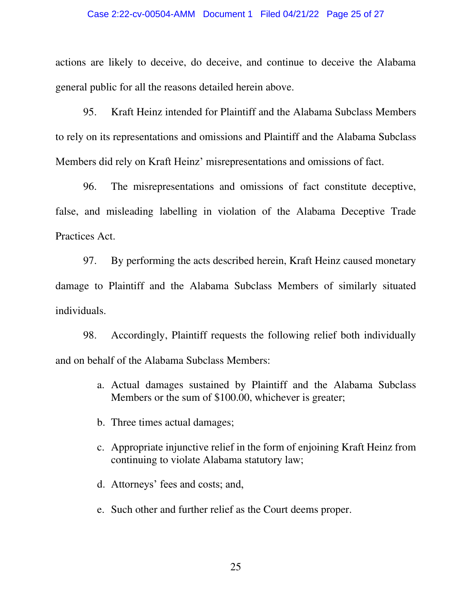### Case 2:22-cv-00504-AMM Document 1 Filed 04/21/22 Page 25 of 27

actions are likely to deceive, do deceive, and continue to deceive the Alabama general public for all the reasons detailed herein above.

95. Kraft Heinz intended for Plaintiff and the Alabama Subclass Members to rely on its representations and omissions and Plaintiff and the Alabama Subclass Members did rely on Kraft Heinz' misrepresentations and omissions of fact.

96. The misrepresentations and omissions of fact constitute deceptive, false, and misleading labelling in violation of the Alabama Deceptive Trade Practices Act.

97. By performing the acts described herein, Kraft Heinz caused monetary damage to Plaintiff and the Alabama Subclass Members of similarly situated individuals.

98. Accordingly, Plaintiff requests the following relief both individually and on behalf of the Alabama Subclass Members:

- a. Actual damages sustained by Plaintiff and the Alabama Subclass Members or the sum of \$100.00, whichever is greater;
- b. Three times actual damages;
- c. Appropriate injunctive relief in the form of enjoining Kraft Heinz from continuing to violate Alabama statutory law;
- d. Attorneys' fees and costs; and,
- e. Such other and further relief as the Court deems proper.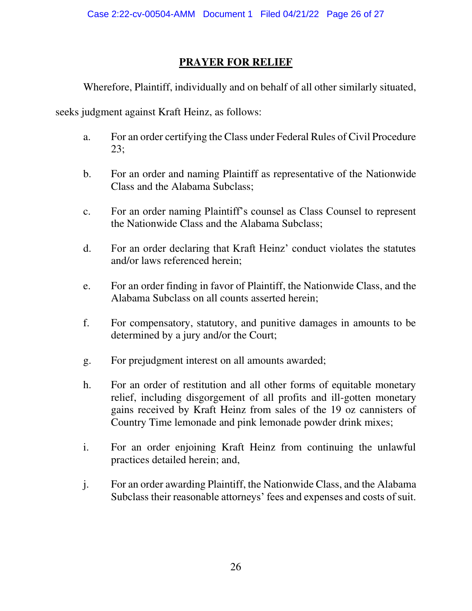# **PRAYER FOR RELIEF**

Wherefore, Plaintiff, individually and on behalf of all other similarly situated,

seeks judgment against Kraft Heinz, as follows:

- a. For an order certifying the Class under Federal Rules of Civil Procedure 23;
- b. For an order and naming Plaintiff as representative of the Nationwide Class and the Alabama Subclass;
- c. For an order naming Plaintiff's counsel as Class Counsel to represent the Nationwide Class and the Alabama Subclass;
- d. For an order declaring that Kraft Heinz' conduct violates the statutes and/or laws referenced herein;
- e. For an order finding in favor of Plaintiff, the Nationwide Class, and the Alabama Subclass on all counts asserted herein;
- f. For compensatory, statutory, and punitive damages in amounts to be determined by a jury and/or the Court;
- g. For prejudgment interest on all amounts awarded;
- h. For an order of restitution and all other forms of equitable monetary relief, including disgorgement of all profits and ill-gotten monetary gains received by Kraft Heinz from sales of the 19 oz cannisters of Country Time lemonade and pink lemonade powder drink mixes;
- i. For an order enjoining Kraft Heinz from continuing the unlawful practices detailed herein; and,
- j. For an order awarding Plaintiff, the Nationwide Class, and the Alabama Subclass their reasonable attorneys' fees and expenses and costs of suit.